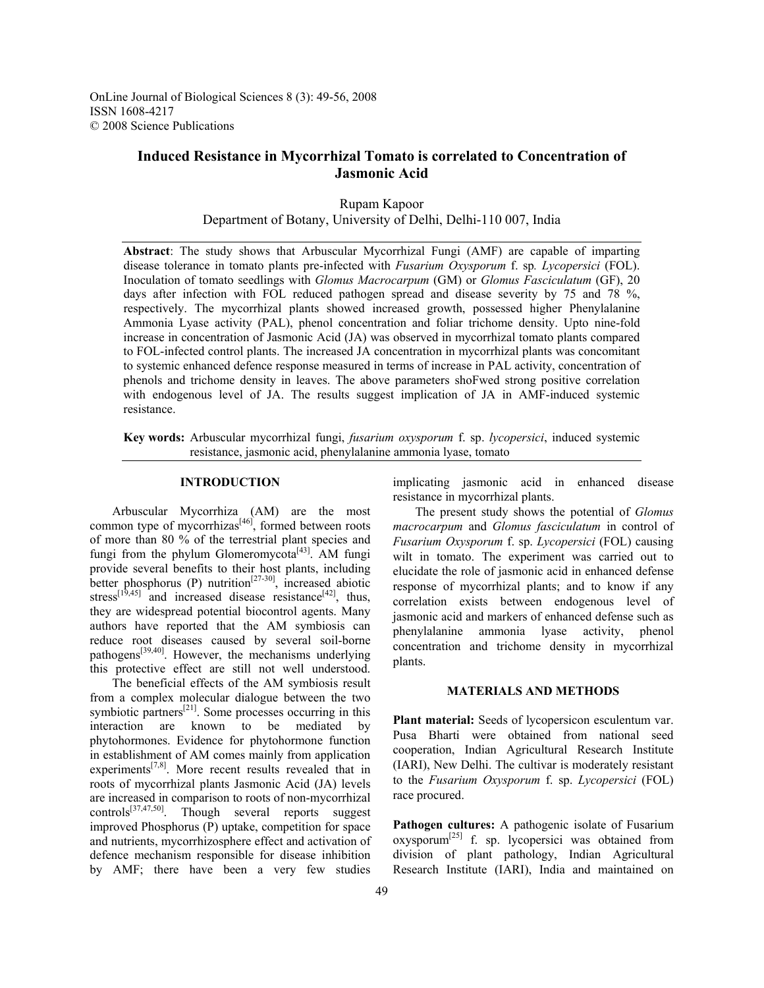OnLine Journal of Biological Sciences 8 (3): 49-56, 2008 ISSN 1608-4217 © 2008 Science Publications

# **Induced Resistance in Mycorrhizal Tomato is correlated to Concentration of Jasmonic Acid**

Rupam Kapoor Department of Botany, University of Delhi, Delhi-110 007, India

**Abstract**: The study shows that Arbuscular Mycorrhizal Fungi (AMF) are capable of imparting disease tolerance in tomato plants pre-infected with *Fusarium Oxysporum* f. sp*. Lycopersici* (FOL). Inoculation of tomato seedlings with *Glomus Macrocarpum* (GM) or *Glomus Fasciculatum* (GF), 20 days after infection with FOL reduced pathogen spread and disease severity by 75 and 78 %, respectively. The mycorrhizal plants showed increased growth, possessed higher Phenylalanine Ammonia Lyase activity (PAL), phenol concentration and foliar trichome density. Upto nine-fold increase in concentration of Jasmonic Acid (JA) was observed in mycorrhizal tomato plants compared to FOL-infected control plants. The increased JA concentration in mycorrhizal plants was concomitant to systemic enhanced defence response measured in terms of increase in PAL activity, concentration of phenols and trichome density in leaves. The above parameters shoFwed strong positive correlation with endogenous level of JA. The results suggest implication of JA in AMF-induced systemic resistance.

**Key words:** Arbuscular mycorrhizal fungi, *fusarium oxysporum* f. sp. *lycopersici*, induced systemic resistance, jasmonic acid, phenylalanine ammonia lyase, tomato

### **INTRODUCTION**

 Arbuscular Mycorrhiza (AM) are the most common type of mycorrhizas $[46]$ , formed between roots of more than 80 % of the terrestrial plant species and fungi from the phylum Glomeromycota<sup>[43]</sup>. AM fungi provide several benefits to their host plants, including better phosphorus (P) nutrition<sup>[27-30]</sup>, increased abiotic stress<sup>[19,45]</sup> and increased disease resistance<sup>[42]</sup>, thus, they are widespread potential biocontrol agents. Many authors have reported that the AM symbiosis can reduce root diseases caused by several soil-borne pathogens[39,40]. However, the mechanisms underlying this protective effect are still not well understood.

 The beneficial effects of the AM symbiosis result from a complex molecular dialogue between the two symbiotic partners $^{[21]}$ . Some processes occurring in this interaction are known to be mediated by phytohormones. Evidence for phytohormone function in establishment of AM comes mainly from application experiments<sup>[7,8]</sup>. More recent results revealed that in roots of mycorrhizal plants Jasmonic Acid (JA) levels are increased in comparison to roots of non-mycorrhizal controls[37,47,50]. Though several reports suggest improved Phosphorus (P) uptake, competition for space and nutrients, mycorrhizosphere effect and activation of defence mechanism responsible for disease inhibition by AMF; there have been a very few studies

implicating jasmonic acid in enhanced disease resistance in mycorrhizal plants.

 The present study shows the potential of *Glomus macrocarpum* and *Glomus fasciculatum* in control of *Fusarium Oxysporum* f. sp. *Lycopersici* (FOL) causing wilt in tomato. The experiment was carried out to elucidate the role of jasmonic acid in enhanced defense response of mycorrhizal plants; and to know if any correlation exists between endogenous level of jasmonic acid and markers of enhanced defense such as phenylalanine ammonia lyase activity, phenol concentration and trichome density in mycorrhizal plants.

#### **MATERIALS AND METHODS**

**Plant material:** Seeds of lycopersicon esculentum var. Pusa Bharti were obtained from national seed cooperation, Indian Agricultural Research Institute (IARI), New Delhi. The cultivar is moderately resistant to the *Fusarium Oxysporum* f. sp. *Lycopersici* (FOL) race procured.

Pathogen cultures: A pathogenic isolate of Fusarium  $oxysporum<sup>[25]</sup>$  f. sp. lycopersici was obtained from division of plant pathology, Indian Agricultural Research Institute (IARI), India and maintained on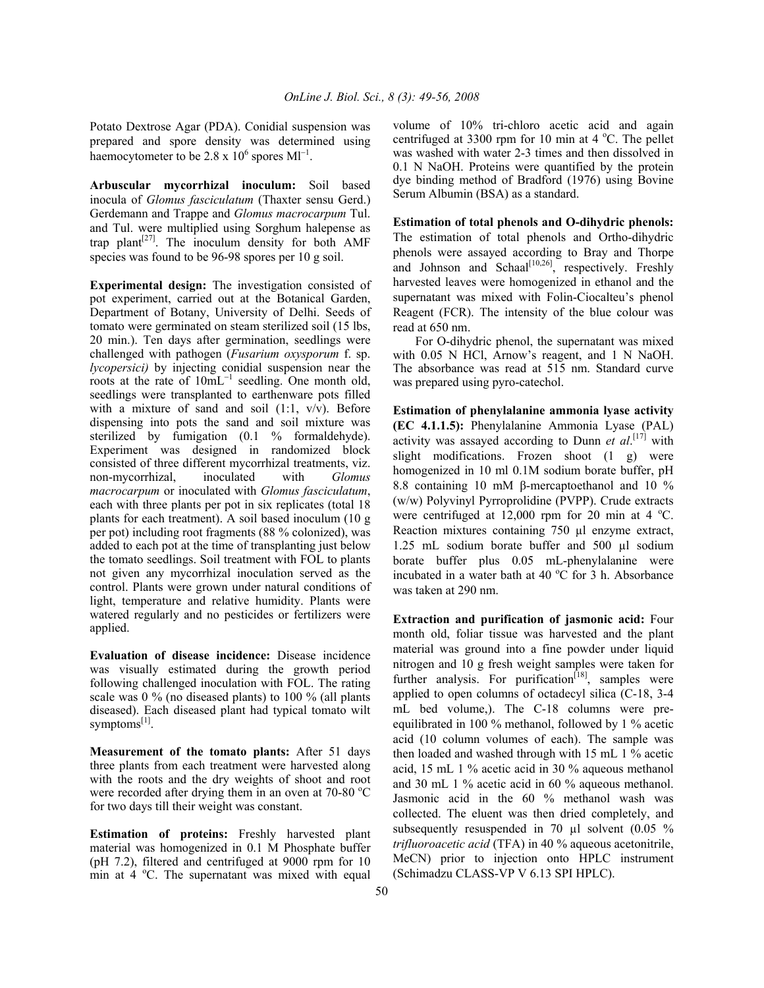Potato Dextrose Agar (PDA). Conidial suspension was prepared and spore density was determined using haemocytometer to be  $2.8 \times 10^6$  spores Ml<sup>-1</sup>.

**Arbuscular mycorrhizal inoculum:** Soil based inocula of *Glomus fasciculatum* (Thaxter sensu Gerd.) Gerdemann and Trappe and *Glomus macrocarpum* Tul. and Tul. were multiplied using Sorghum halepense as trap plant<sup>[27]</sup>. The inoculum density for both AMF species was found to be 96-98 spores per 10 g soil.

**Experimental design:** The investigation consisted of pot experiment, carried out at the Botanical Garden, Department of Botany, University of Delhi. Seeds of tomato were germinated on steam sterilized soil (15 lbs, 20 min.). Ten days after germination, seedlings were challenged with pathogen (*Fusarium oxysporum* f. sp. *lycopersici)* by injecting conidial suspension near the roots at the rate of  $10 \text{mL}^{-1}$  seedling. One month old, seedlings were transplanted to earthenware pots filled with a mixture of sand and soil (1:1, v/v). Before dispensing into pots the sand and soil mixture was sterilized by fumigation (0.1 % formaldehyde). Experiment was designed in randomized block consisted of three different mycorrhizal treatments, viz. non-mycorrhizal, inoculated with *Glomus macrocarpum* or inoculated with *Glomus fasciculatum*, each with three plants per pot in six replicates (total 18 plants for each treatment). A soil based inoculum (10 g per pot) including root fragments (88 % colonized), was added to each pot at the time of transplanting just below the tomato seedlings. Soil treatment with FOL to plants not given any mycorrhizal inoculation served as the control. Plants were grown under natural conditions of light, temperature and relative humidity. Plants were watered regularly and no pesticides or fertilizers were applied.

**Evaluation of disease incidence:** Disease incidence was visually estimated during the growth period following challenged inoculation with FOL. The rating scale was 0 % (no diseased plants) to 100 % (all plants diseased). Each diseased plant had typical tomato wilt symptoms $^{[1]}$ .

**Measurement of the tomato plants:** After 51 days three plants from each treatment were harvested along with the roots and the dry weights of shoot and root were recorded after drying them in an oven at  $70-80$  °C for two days till their weight was constant.

**Estimation of proteins:** Freshly harvested plant material was homogenized in 0.1 M Phosphate buffer (pH 7.2), filtered and centrifuged at 9000 rpm for 10 min at 4 °C. The supernatant was mixed with equal volume of 10% tri-chloro acetic acid and again centrifuged at 3300 rpm for 10 min at 4  $^{\circ}$ C. The pellet was washed with water 2-3 times and then dissolved in 0.1 N NaOH. Proteins were quantified by the protein dye binding method of Bradford (1976) using Bovine Serum Albumin (BSA) as a standard.

**Estimation of total phenols and O-dihydric phenols:**  The estimation of total phenols and Ortho-dihydric phenols were assayed according to Bray and Thorpe and Johnson and Schaal<sup>[10,26]</sup>, respectively. Freshly harvested leaves were homogenized in ethanol and the supernatant was mixed with Folin-Ciocalteu's phenol Reagent (FCR). The intensity of the blue colour was read at 650 nm.

 For O-dihydric phenol, the supernatant was mixed with  $0.05$  N HCl, Arnow's reagent, and 1 N NaOH. The absorbance was read at 515 nm. Standard curve was prepared using pyro-catechol.

**Estimation of phenylalanine ammonia lyase activity (EC 4.1.1.5):** Phenylalanine Ammonia Lyase (PAL) activity was assayed according to Dunn *et al*. [17] with slight modifications. Frozen shoot (1 g) were homogenized in 10 ml 0.1M sodium borate buffer, pH 8.8 containing 10 mM β-mercaptoethanol and 10 % (w/w) Polyvinyl Pyrroprolidine (PVPP). Crude extracts were centrifuged at  $12,000$  rpm for 20 min at 4 °C. Reaction mixtures containing 750 µl enzyme extract, 1.25 mL sodium borate buffer and 500 µl sodium borate buffer plus 0.05 mL-phenylalanine were incubated in a water bath at 40  $^{\circ}$ C for 3 h. Absorbance was taken at 290 nm.

**Extraction and purification of jasmonic acid:** Four month old, foliar tissue was harvested and the plant material was ground into a fine powder under liquid nitrogen and 10 g fresh weight samples were taken for further analysis. For purification<sup> $[18]$ </sup>, samples were applied to open columns of octadecyl silica (C-18, 3-4 mL bed volume,). The C-18 columns were preequilibrated in 100 % methanol, followed by 1 % acetic acid (10 column volumes of each). The sample was then loaded and washed through with 15 mL 1 % acetic acid, 15 mL 1 % acetic acid in 30 % aqueous methanol and 30 mL 1 % acetic acid in 60 % aqueous methanol. Jasmonic acid in the 60 % methanol wash was collected. The eluent was then dried completely, and subsequently resuspended in 70 µl solvent (0.05 % *trifluoroacetic acid* (TFA) in 40 % aqueous acetonitrile, MeCN) prior to injection onto HPLC instrument (Schimadzu CLASS-VP V 6.13 SPI HPLC).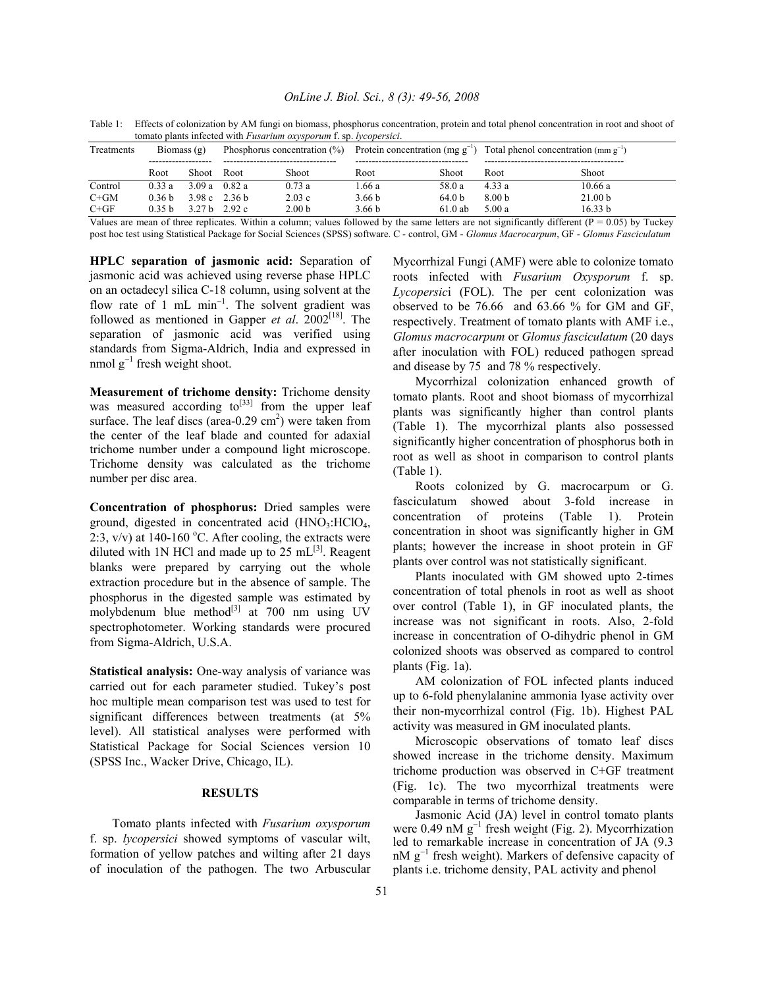| winato plants informed with F asartam <i>exysporum</i> 1. Sp. tycopersici. |                   |       |                                 |                   |                   |                   |                                                                                |                    |
|----------------------------------------------------------------------------|-------------------|-------|---------------------------------|-------------------|-------------------|-------------------|--------------------------------------------------------------------------------|--------------------|
| Treatments                                                                 | Biomass $(g)$     |       | Phosphorus concentration $(\%)$ |                   |                   |                   | Protein concentration (mg $g^{-1}$ ) Total phenol concentration (mm $g^{-1}$ ) |                    |
|                                                                            | Root              | Shoot | Root                            | Shoot             | Root              | Shoot             | Root                                                                           | Shoot              |
| Control                                                                    | 0.33a             |       | 3.09 a $0.82$ a                 | 0.73a             | 1.66 a            | 58.0 a            | 4.33a                                                                          | 10.66a             |
| $C + GM$                                                                   | 0.36 <sub>b</sub> |       | 3.98 c $2.36 h$                 | 2.03c             | 3.66 <sub>b</sub> | 64.0 <sub>b</sub> | 8.00 b                                                                         | 21.00 <sub>b</sub> |
| $C + GF$                                                                   | 0 35 b            |       | 3.27 h $2.92 \text{ c}$         | 2.00 <sub>b</sub> | 3.66 b            | $61.0$ ab         | 5.00a                                                                          | 16.33 b            |
| _ _ _                                                                      |                   |       | -----                           |                   |                   |                   |                                                                                | .                  |

Table 1: Effects of colonization by AM fungi on biomass, phosphorus concentration, protein and total phenol concentration in root and shoot of tomato plants infected with *Fusarium oxysporum* f. sp. *lycopersici*.

Values are mean of three replicates. Within a column; values followed by the same letters are not significantly different ( $P = 0.05$ ) by Tuckey post hoc test using Statistical Package for Social Sciences (SPSS) software. C - control, GM - *Glomus Macrocarpum*, GF - *Glomus Fasciculatum*

**HPLC separation of jasmonic acid:** Separation of jasmonic acid was achieved using reverse phase HPLC on an octadecyl silica C-18 column, using solvent at the flow rate of 1 mL min<sup>-1</sup>. The solvent gradient was followed as mentioned in Gapper *et al*. 2002[18]. The separation of jasmonic acid was verified using standards from Sigma-Aldrich, India and expressed in nmol  $g^{-1}$  fresh weight shoot.

**Measurement of trichome density:** Trichome density was measured according  $\omega^{[33]}$  from the upper leaf surface. The leaf discs (area- $0.29 \text{ cm}^2$ ) were taken from the center of the leaf blade and counted for adaxial trichome number under a compound light microscope. Trichome density was calculated as the trichome number per disc area.

**Concentration of phosphorus:** Dried samples were ground, digested in concentrated acid  $(HNO<sub>3</sub>:HClO<sub>4</sub>)$ , 2:3,  $v/v$ ) at 140-160 °C. After cooling, the extracts were diluted with 1N HCl and made up to 25 mL $^{[3]}$ . Reagent blanks were prepared by carrying out the whole extraction procedure but in the absence of sample. The phosphorus in the digested sample was estimated by molybdenum blue method $^{[3]}$  at 700 nm using UV spectrophotometer. Working standards were procured from Sigma-Aldrich, U.S.A.

**Statistical analysis:** One-way analysis of variance was carried out for each parameter studied. Tukey's post hoc multiple mean comparison test was used to test for significant differences between treatments (at 5% level). All statistical analyses were performed with Statistical Package for Social Sciences version 10 (SPSS Inc., Wacker Drive, Chicago, IL).

#### **RESULTS**

 Tomato plants infected with *Fusarium oxysporum* f. sp. *lycopersici* showed symptoms of vascular wilt, formation of yellow patches and wilting after 21 days of inoculation of the pathogen. The two Arbuscular Mycorrhizal Fungi (AMF) were able to colonize tomato roots infected with *Fusarium Oxysporum* f. sp. *Lycopersic*i (FOL). The per cent colonization was observed to be 76.66 and 63.66 % for GM and GF, respectively. Treatment of tomato plants with AMF i.e., *Glomus macrocarpum* or *Glomus fasciculatum* (20 days after inoculation with FOL) reduced pathogen spread and disease by 75 and 78 % respectively.

 Mycorrhizal colonization enhanced growth of tomato plants. Root and shoot biomass of mycorrhizal plants was significantly higher than control plants (Table 1). The mycorrhizal plants also possessed significantly higher concentration of phosphorus both in root as well as shoot in comparison to control plants (Table 1).

 Roots colonized by G. macrocarpum or G. fasciculatum showed about 3-fold increase in concentration of proteins (Table 1). Protein concentration in shoot was significantly higher in GM plants; however the increase in shoot protein in GF plants over control was not statistically significant.

 Plants inoculated with GM showed upto 2-times concentration of total phenols in root as well as shoot over control (Table 1), in GF inoculated plants, the increase was not significant in roots. Also, 2-fold increase in concentration of O-dihydric phenol in GM colonized shoots was observed as compared to control plants (Fig. 1a).

 AM colonization of FOL infected plants induced up to 6-fold phenylalanine ammonia lyase activity over their non-mycorrhizal control (Fig. 1b). Highest PAL activity was measured in GM inoculated plants.

 Microscopic observations of tomato leaf discs showed increase in the trichome density. Maximum trichome production was observed in C+GF treatment (Fig. 1c). The two mycorrhizal treatments were comparable in terms of trichome density.

 Jasmonic Acid (JA) level in control tomato plants were 0.49 nM  $g^{-1}$  fresh weight (Fig. 2). Mycorrhization led to remarkable increase in concentration of JA (9.3 nM g<sup>-1</sup> fresh weight). Markers of defensive capacity of plants i.e. trichome density, PAL activity and phenol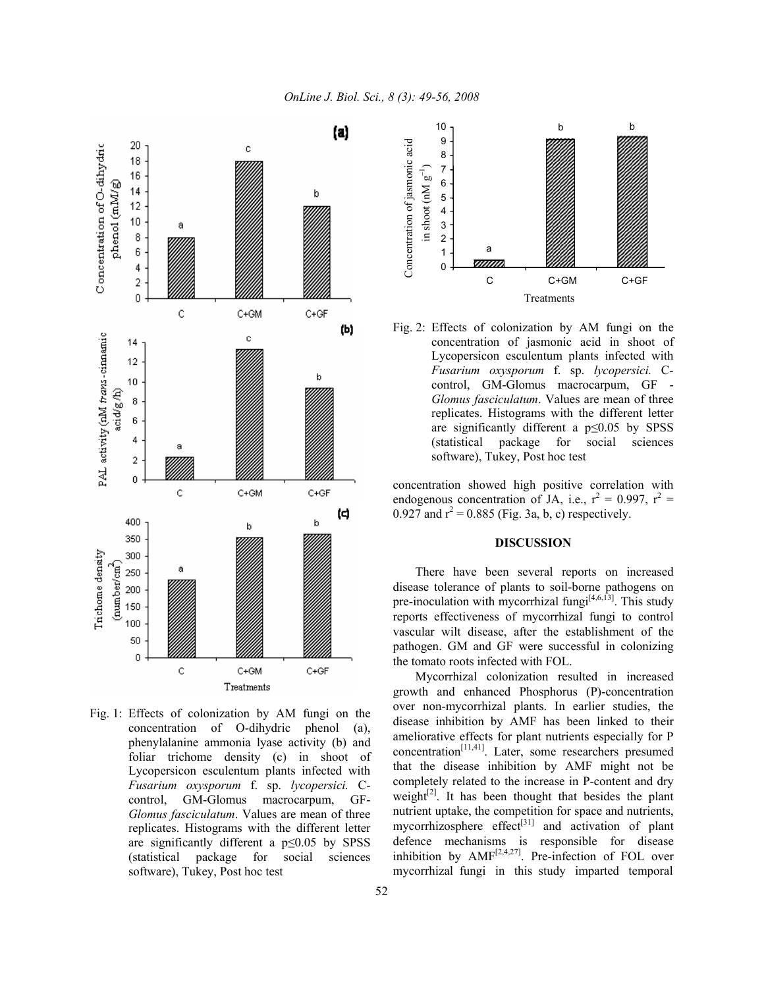

Fig. 1: Effects of colonization by AM fungi on the concentration of O-dihydric phenol (a), phenylalanine ammonia lyase activity (b) and foliar trichome density (c) in shoot of Lycopersicon esculentum plants infected with *Fusarium oxysporum* f. sp. *lycopersici.* Ccontrol, GM-Glomus macrocarpum, GF-*Glomus fasciculatum*. Values are mean of three replicates. Histograms with the different letter are significantly different a  $p \leq 0.05$  by SPSS (statistical package for social sciences software), Tukey, Post hoc test



Fig. 2: Effects of colonization by AM fungi on the concentration of jasmonic acid in shoot of Lycopersicon esculentum plants infected with *Fusarium oxysporum* f. sp. *lycopersici.* Ccontrol, GM-Glomus macrocarpum, GF - *Glomus fasciculatum*. Values are mean of three replicates. Histograms with the different letter are significantly different a p≤0.05 by SPSS (statistical package for social sciences software), Tukey, Post hoc test

concentration showed high positive correlation with endogenous concentration of JA, i.e.,  $r^2 = 0.997$ ,  $r^2 =$ 0.927 and  $r^2$  = 0.885 (Fig. 3a, b, c) respectively.

## **DISCUSSION**

 There have been several reports on increased disease tolerance of plants to soil-borne pathogens on pre-inoculation with mycorrhizal fungi $[4,6,13]$ . This study reports effectiveness of mycorrhizal fungi to control vascular wilt disease, after the establishment of the pathogen. GM and GF were successful in colonizing the tomato roots infected with FOL.

 Mycorrhizal colonization resulted in increased growth and enhanced Phosphorus (P)-concentration over non-mycorrhizal plants. In earlier studies, the disease inhibition by AMF has been linked to their ameliorative effects for plant nutrients especially for P  $concentration<sup>[11,41]</sup>$ . Later, some researchers presumed that the disease inhibition by AMF might not be completely related to the increase in P-content and dry weight $[2]$ . It has been thought that besides the plant nutrient uptake, the competition for space and nutrients, mycorrhizosphere effect<sup>[31]</sup> and activation of plant defence mechanisms is responsible for disease inhibition by  $AMF^{[2,4,27]}$ . Pre-infection of FOL over mycorrhizal fungi in this study imparted temporal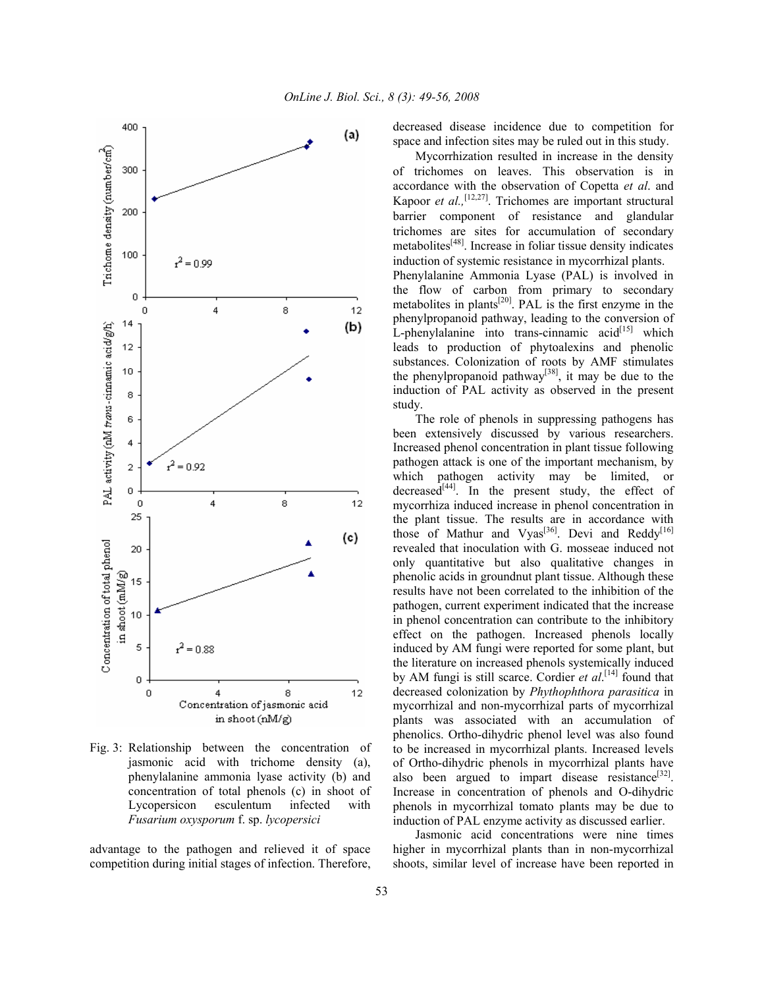

Fig. 3: Relationship between the concentration of jasmonic acid with trichome density (a), phenylalanine ammonia lyase activity (b) and concentration of total phenols (c) in shoot of Lycopersicon esculentum infected with *Fusarium oxysporum* f. sp. *lycopersici* 

advantage to the pathogen and relieved it of space competition during initial stages of infection. Therefore, decreased disease incidence due to competition for space and infection sites may be ruled out in this study.

 Mycorrhization resulted in increase in the density of trichomes on leaves. This observation is in accordance with the observation of Copetta *et al*. and Kapoor *et al.*,<sup>[12,27]</sup>. Trichomes are important structural barrier component of resistance and glandular trichomes are sites for accumulation of secondary metabolites[48]. Increase in foliar tissue density indicates induction of systemic resistance in mycorrhizal plants. Phenylalanine Ammonia Lyase (PAL) is involved in the flow of carbon from primary to secondary metabolites in plants<sup>[20]</sup>. PAL is the first enzyme in the phenylpropanoid pathway, leading to the conversion of L-phenylalanine into trans-cinnamic  $acid^{[15]}$  which leads to production of phytoalexins and phenolic substances. Colonization of roots by AMF stimulates the phenylpropanoid pathway[38], it may be due to the induction of PAL activity as observed in the present study.

 The role of phenols in suppressing pathogens has been extensively discussed by various researchers. Increased phenol concentration in plant tissue following pathogen attack is one of the important mechanism, by which pathogen activity may be limited, or decreased<sup>[44]</sup>. In the present study, the effect of mycorrhiza induced increase in phenol concentration in the plant tissue. The results are in accordance with those of Mathur and Vyas<sup>[36]</sup>. Devi and Reddy<sup>[16]</sup> revealed that inoculation with G. mosseae induced not only quantitative but also qualitative changes in phenolic acids in groundnut plant tissue. Although these results have not been correlated to the inhibition of the pathogen, current experiment indicated that the increase in phenol concentration can contribute to the inhibitory effect on the pathogen. Increased phenols locally induced by AM fungi were reported for some plant, but the literature on increased phenols systemically induced by AM fungi is still scarce. Cordier *et al*.<sup>[14]</sup> found that decreased colonization by *Phythophthora parasitica* in mycorrhizal and non-mycorrhizal parts of mycorrhizal plants was associated with an accumulation of phenolics. Ortho-dihydric phenol level was also found to be increased in mycorrhizal plants. Increased levels of Ortho-dihydric phenols in mycorrhizal plants have also been argued to impart disease resistance<sup>[32]</sup>. Increase in concentration of phenols and O-dihydric phenols in mycorrhizal tomato plants may be due to induction of PAL enzyme activity as discussed earlier.

 Jasmonic acid concentrations were nine times higher in mycorrhizal plants than in non-mycorrhizal shoots, similar level of increase have been reported in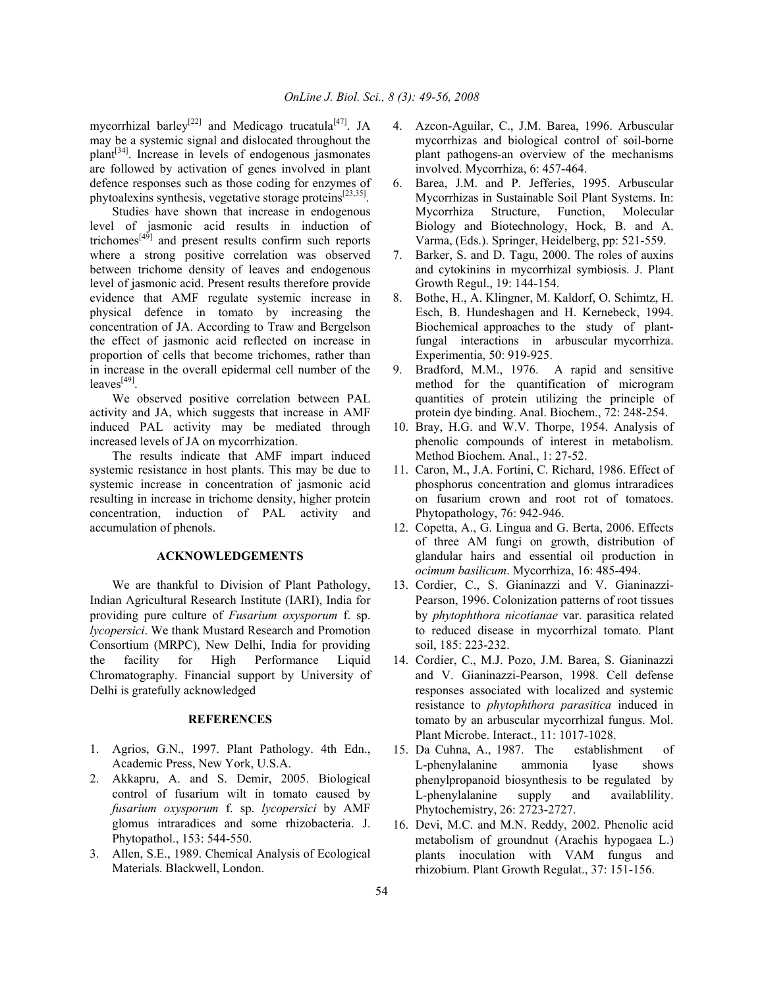mycorrhizal barley<sup>[22]</sup> and Medicago trucatula<sup>[47]</sup>. JA may be a systemic signal and dislocated throughout the  $plan<sup>[34]</sup>$ . Increase in levels of endogenous jasmonates are followed by activation of genes involved in plant defence responses such as those coding for enzymes of phytoalexins synthesis, vegetative storage proteins $^{[23,35]}$ .

 Studies have shown that increase in endogenous level of jasmonic acid results in induction of trichomes[49] and present results confirm such reports where a strong positive correlation was observed between trichome density of leaves and endogenous level of jasmonic acid. Present results therefore provide evidence that AMF regulate systemic increase in physical defence in tomato by increasing the concentration of JA. According to Traw and Bergelson the effect of jasmonic acid reflected on increase in proportion of cells that become trichomes, rather than in increase in the overall epidermal cell number of the  $leaves<sup>[49]</sup>$ .

 We observed positive correlation between PAL activity and JA, which suggests that increase in AMF induced PAL activity may be mediated through increased levels of JA on mycorrhization.

 The results indicate that AMF impart induced systemic resistance in host plants. This may be due to systemic increase in concentration of jasmonic acid resulting in increase in trichome density, higher protein concentration, induction of PAL activity and accumulation of phenols.

### **ACKNOWLEDGEMENTS**

 We are thankful to Division of Plant Pathology, Indian Agricultural Research Institute (IARI), India for providing pure culture of *Fusarium oxysporum* f. sp. *lycopersici*. We thank Mustard Research and Promotion Consortium (MRPC), New Delhi, India for providing the facility for High Performance Liquid Chromatography. Financial support by University of Delhi is gratefully acknowledged

## **REFERENCES**

- 1. Agrios, G.N., 1997. Plant Pathology. 4th Edn., Academic Press, New York, U.S.A.
- 2. Akkapru, A. and S. Demir, 2005. Biological control of fusarium wilt in tomato caused by *fusarium oxysporum* f. sp. *lycopersici* by AMF glomus intraradices and some rhizobacteria. J. Phytopathol., 153: 544-550.
- 3. Allen, S.E., 1989. Chemical Analysis of Ecological Materials. Blackwell, London.
- 4. Azcon-Aguilar, C., J.M. Barea, 1996. Arbuscular mycorrhizas and biological control of soil-borne plant pathogens-an overview of the mechanisms involved. Mycorrhiza, 6: 457-464.
- 6. Barea, J.M. and P. Jefferies, 1995. Arbuscular Mycorrhizas in Sustainable Soil Plant Systems. In: Mycorrhiza Structure, Function, Molecular Biology and Biotechnology, Hock, B. and A. Varma, (Eds.). Springer, Heidelberg, pp: 521-559.
- 7. Barker, S. and D. Tagu, 2000. The roles of auxins and cytokinins in mycorrhizal symbiosis. J. Plant Growth Regul., 19: 144-154.
- 8. Bothe, H., A. Klingner, M. Kaldorf, O. Schimtz, H. Esch, B. Hundeshagen and H. Kernebeck, 1994. Biochemical approaches to the study of plantfungal interactions in arbuscular mycorrhiza. Experimentia, 50: 919-925.
- 9. Bradford, M.M., 1976. A rapid and sensitive method for the quantification of microgram quantities of protein utilizing the principle of protein dye binding. Anal. Biochem., 72: 248-254.
- 10. Bray, H.G. and W.V. Thorpe, 1954. Analysis of phenolic compounds of interest in metabolism. Method Biochem. Anal., 1: 27-52.
- 11. Caron, M., J.A. Fortini, C. Richard, 1986. Effect of phosphorus concentration and glomus intraradices on fusarium crown and root rot of tomatoes. Phytopathology, 76: 942-946.
- 12. Copetta, A., G. Lingua and G. Berta, 2006. Effects of three AM fungi on growth, distribution of glandular hairs and essential oil production in *ocimum basilicum*. Mycorrhiza, 16: 485-494.
- 13. Cordier, C., S. Gianinazzi and V. Gianinazzi-Pearson, 1996. Colonization patterns of root tissues by *phytophthora nicotianae* var. parasitica related to reduced disease in mycorrhizal tomato. Plant soil, 185: 223-232.
- 14. Cordier, C., M.J. Pozo, J.M. Barea, S. Gianinazzi and V. Gianinazzi-Pearson, 1998. Cell defense responses associated with localized and systemic resistance to *phytophthora parasitica* induced in tomato by an arbuscular mycorrhizal fungus. Mol. Plant Microbe. Interact., 11: 1017-1028.
- 15. Da Cuhna, A., 1987. The establishment of L-phenylalanine ammonia lyase shows phenylpropanoid biosynthesis to be regulated by L-phenylalanine supply and availablility. Phytochemistry, 26: 2723-2727.
- 16. Devi, M.C. and M.N. Reddy, 2002. Phenolic acid metabolism of groundnut (Arachis hypogaea L.) plants inoculation with VAM fungus and rhizobium. Plant Growth Regulat., 37: 151-156.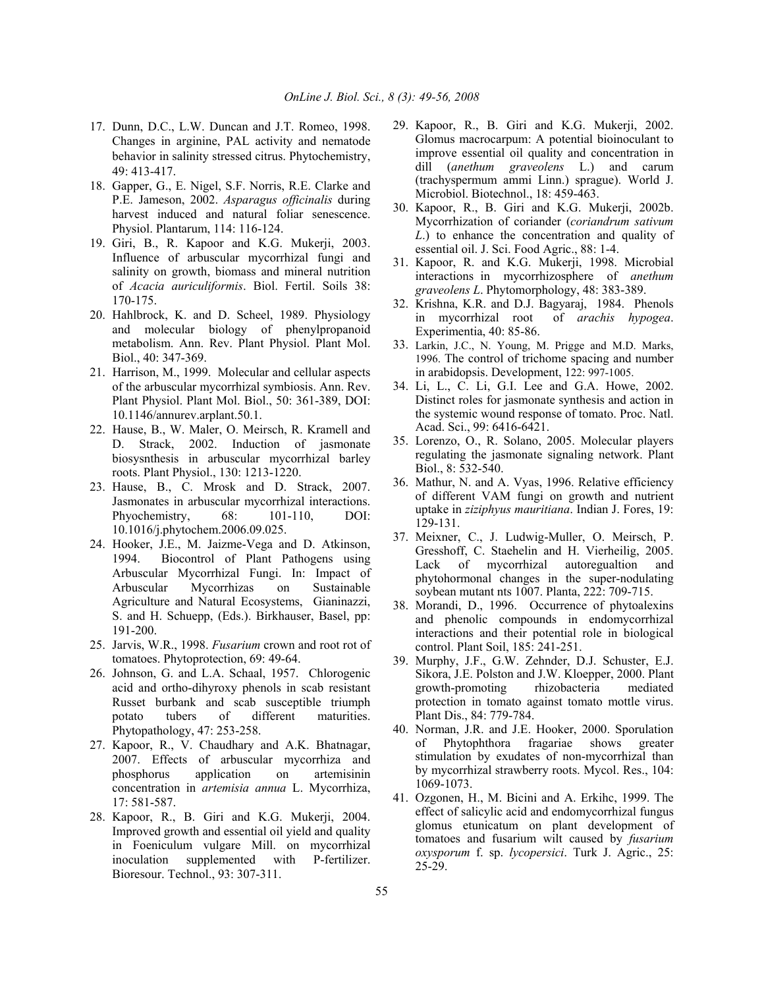- 17. Dunn, D.C., L.W. Duncan and J.T. Romeo, 1998. Changes in arginine, PAL activity and nematode behavior in salinity stressed citrus. Phytochemistry, 49: 413-417.
- 18. Gapper, G., E. Nigel, S.F. Norris, R.E. Clarke and P.E. Jameson, 2002. *Asparagus officinalis* during harvest induced and natural foliar senescence. Physiol. Plantarum, 114: 116-124.
- 19. Giri, B., R. Kapoor and K.G. Mukerji, 2003. Influence of arbuscular mycorrhizal fungi and salinity on growth, biomass and mineral nutrition of *Acacia auriculiformis*. Biol. Fertil. Soils 38: 170-175.
- 20. Hahlbrock, K. and D. Scheel, 1989. Physiology and molecular biology of phenylpropanoid metabolism. Ann. Rev. Plant Physiol. Plant Mol. Biol., 40: 347-369.
- 21. Harrison, M., 1999. Molecular and cellular aspects of the arbuscular mycorrhizal symbiosis. Ann. Rev. Plant Physiol. Plant Mol. Biol., 50: 361-389, DOI: 10.1146/annurev.arplant.50.1.
- 22. Hause, B., W. Maler, O. Meirsch, R. Kramell and D. Strack, 2002. Induction of jasmonate biosysnthesis in arbuscular mycorrhizal barley roots. Plant Physiol., 130: 1213-1220.
- 23. Hause, B., C. Mrosk and D. Strack, 2007. Jasmonates in arbuscular mycorrhizal interactions. Phyochemistry, 68: 101-110, DOI: 10.1016/j.phytochem.2006.09.025.
- 24. Hooker, J.E., M. Jaizme-Vega and D. Atkinson, 1994. Biocontrol of Plant Pathogens using Arbuscular Mycorrhizal Fungi. In: Impact of Arbuscular Mycorrhizas on Sustainable Agriculture and Natural Ecosystems, Gianinazzi, S. and H. Schuepp, (Eds.). Birkhauser, Basel, pp: 191-200.
- 25. Jarvis, W.R., 1998. *Fusarium* crown and root rot of tomatoes. Phytoprotection, 69: 49-64.
- 26. Johnson, G. and L.A. Schaal, 1957. Chlorogenic acid and ortho-dihyroxy phenols in scab resistant Russet burbank and scab susceptible triumph potato tubers of different maturities. Phytopathology, 47: 253-258.
- 27. Kapoor, R., V. Chaudhary and A.K. Bhatnagar, 2007. Effects of arbuscular mycorrhiza and phosphorus application on artemisinin concentration in *artemisia annua* L. Mycorrhiza, 17: 581-587.
- 28. Kapoor, R., B. Giri and K.G. Mukerji, 2004. Improved growth and essential oil yield and quality in Foeniculum vulgare Mill. on mycorrhizal inoculation supplemented with P-fertilizer. Bioresour. Technol., 93: 307-311.
- 29. Kapoor, R., B. Giri and K.G. Mukerji, 2002. Glomus macrocarpum: A potential bioinoculant to improve essential oil quality and concentration in dill (*anethum graveolens* L.) and carum (trachyspermum ammi Linn.) sprague). World J. Microbiol. Biotechnol., 18: 459-463.
- 30. Kapoor, R., B. Giri and K.G. Mukerji, 2002b. Mycorrhization of coriander (*coriandrum sativum L*.) to enhance the concentration and quality of essential oil. J. Sci. Food Agric., 88: 1-4.
- 31. Kapoor, R. and K.G. Mukerji, 1998. Microbial interactions in mycorrhizosphere of *anethum graveolens L*. Phytomorphology, 48: 383-389.
- 32. Krishna, K.R. and D.J. Bagyaraj, 1984. Phenols in mycorrhizal root of *arachis hypogea*. Experimentia, 40: 85-86.
- 33. Larkin, J.C., N. Young, M. Prigge and M.D. Marks, 1996. The control of trichome spacing and number in arabidopsis. Development, 122: 997-1005.
- 34. Li, L., C. Li, G.I. Lee and G.A. Howe, 2002. Distinct roles for jasmonate synthesis and action in the systemic wound response of tomato. Proc. Natl. Acad. Sci., 99: 6416-6421.
- 35. Lorenzo, O., R. Solano, 2005. Molecular players regulating the jasmonate signaling network. Plant Biol., 8: 532-540.
- 36. Mathur, N. and A. Vyas, 1996. Relative efficiency of different VAM fungi on growth and nutrient uptake in *ziziphyus mauritiana*. Indian J. Fores, 19: 129-131.
- 37. Meixner, C., J. Ludwig-Muller, O. Meirsch, P. Gresshoff, C. Staehelin and H. Vierheilig, 2005. Lack of mycorrhizal autoregualtion and phytohormonal changes in the super-nodulating soybean mutant nts 1007. Planta, 222: 709-715.
- 38. Morandi, D., 1996. Occurrence of phytoalexins and phenolic compounds in endomycorrhizal interactions and their potential role in biological control. Plant Soil, 185: 241-251.
- 39. Murphy, J.F., G.W. Zehnder, D.J. Schuster, E.J. Sikora, J.E. Polston and J.W. Kloepper, 2000. Plant growth-promoting rhizobacteria mediated protection in tomato against tomato mottle virus. Plant Dis., 84: 779-784.
- 40. Norman, J.R. and J.E. Hooker, 2000. Sporulation of Phytophthora fragariae shows greater stimulation by exudates of non-mycorrhizal than by mycorrhizal strawberry roots. Mycol. Res., 104: 1069-1073.
- 41. Ozgonen, H., M. Bicini and A. Erkihc, 1999. The effect of salicylic acid and endomycorrhizal fungus glomus etunicatum on plant development of tomatoes and fusarium wilt caused by *fusarium oxysporum* f. sp. *lycopersici*. Turk J. Agric., 25: 25-29.